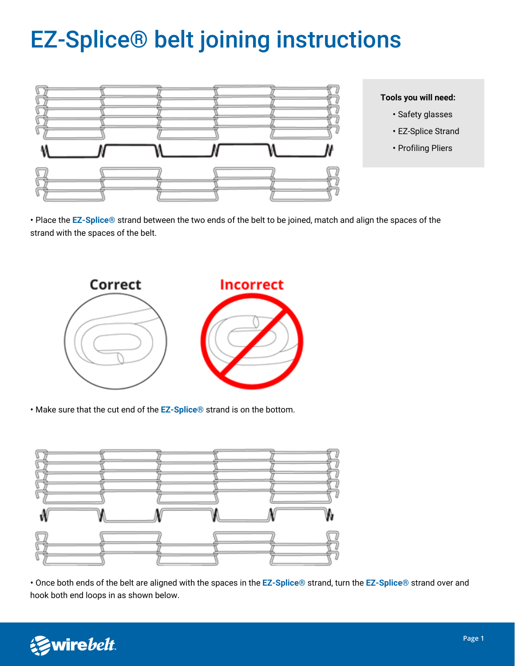## EZ-Splice® belt joining instructions



- **Tools you will need:**
	- Safety glasses
	- EZ-Splice Strand
	- Profiling Pliers

• Place the **EZ-Splice®** strand between the two ends of the belt to be joined, match and align the spaces of the strand with the spaces of the belt.



• Make sure that the cut end of the **EZ-Splice®** strand is on the bottom.



• Once both ends of the belt are aligned with the spaces in the **EZ-Splice®** strand, turn the **EZ-Splice®** strand over and hook both end loops in as shown below.

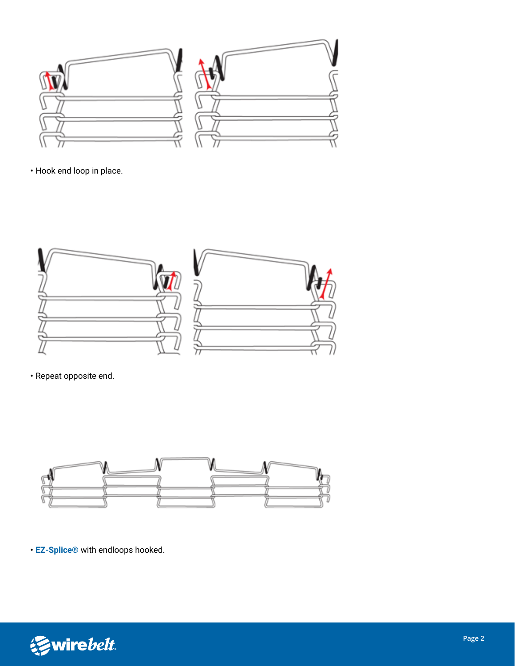

• Hook end loop in place.



• Repeat opposite end.



• **EZ-Splice®** with endloops hooked.

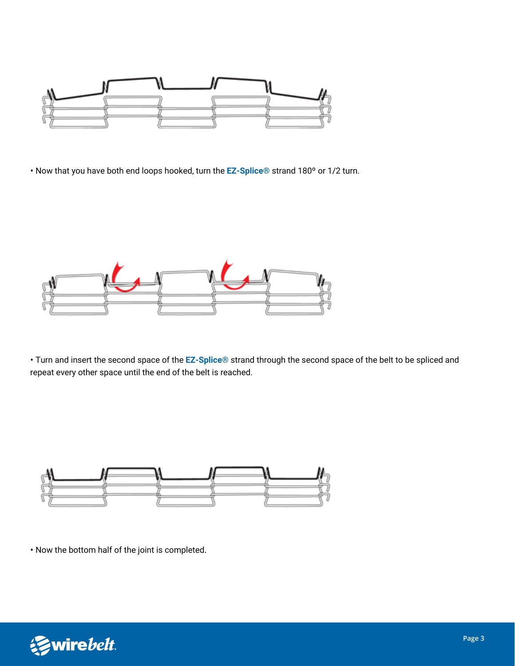

• Now that you have both end loops hooked, turn the **EZ-Splice®** strand 180º or 1/2 turn.



• Turn and insert the second space of the **EZ-Splice®** strand through the second space of the belt to be spliced and repeat every other space until the end of the belt is reached.



• Now the bottom half of the joint is completed.

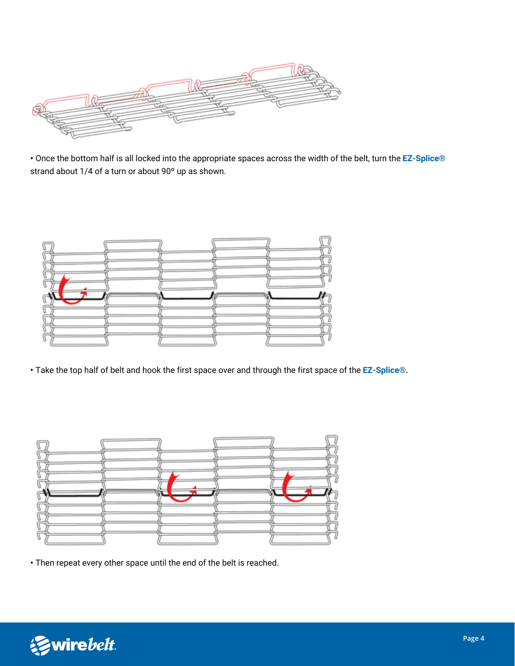

• Once the bottom half is all locked into the appropriate spaces across the width of the belt, turn the **EZ-Splice®**  strand about 1/4 of a turn or about 90º up as shown.



• Take the top half of belt and hook the first space over and through the first space of the **EZ-Splice®**.



• Then repeat every other space until the end of the belt is reached.